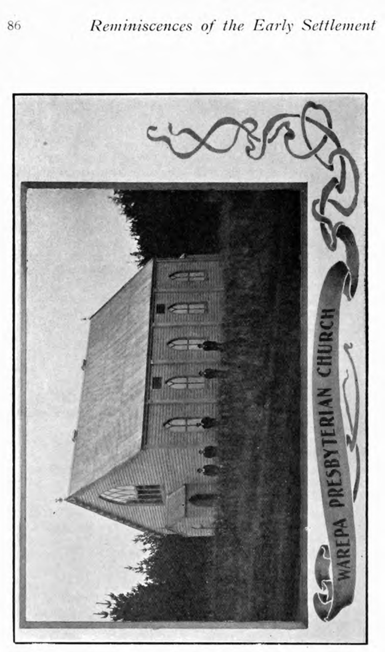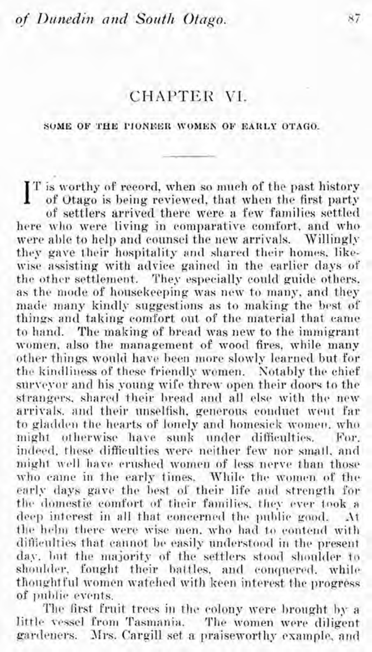## CHAPTER VI.

## SOME OF THE PIONEER WOMEN OF EARLY OTAGO.

 $\int_{0}^{T}$  is worthy of record, when so much of the past history of Otago is being reviewed, that when the first party of settlers arrived there were a few families settled here who were living in comparative comfort, and who were able to help and counsel the new arrivals. Willingly they gave their hospitality and shared their homes, likewise assisting with advice gained in the earlier days of the other settlement. They especially could guide others. as the mode of housekeeping was new to many, and they made many kindly suggestions as to making the best of things and taking comfort out of the material that came to hand. The making of bread was new to the immigrant women, also the management of wood fires, while many other things would have been more slowly learned but for the kindliness of these friendly women. Notably the chief surveyor and his young wife threw open their doors to the strangers, shared their bread and all else with the new arrivals, and their unselfish, generous conduct went far to gladden the hearts of lonely and homesick women, who might otherwise have sunk under difficulties. For. indeed, these difficulties were neither few nor small, and might well have erushed women of less nerve than those who came in the early times. While the women of the early days gave the best of their life and strength for the domestic comfort of their families, they ever took a deep interest in all that concerned the public good. At the helm there were wise men, who had to contend with difficulties that cannot be easily understood in the present day, but the majority of the settlers stood shoulder to shoulder, fought their battles, and conquered, while thoughtful women watched with keen interest the progress of public events.

The first fruit trees in the colony were brought by a little vessel from Tasmania. The women were diligent gardeners. Mrs. Cargill set a praiseworthy example, and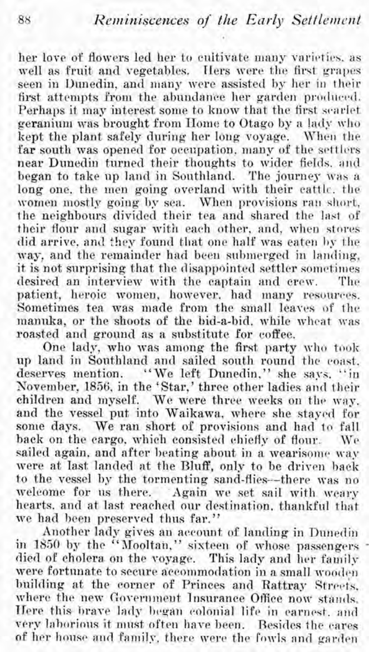her love of flowers led her to cultivate many varieties. as well **as** fruit and vegetables. Hers were the first grapes seen in Dunedin, and many were assisted by her in their first attempts from the abundance her garden produced. Perhaps it may interest some to know that the first scarlet geranium was brought from Home to Otago by a lady who kept the plant safely during her long voyage. When the far south was opened for occupation, many of the settlers near Dunedin turned their thoughts to wider fields, and began to take up land in Southland. The journey was a long one, the men going overland with their cattle. the women mostly going by sea. When provisions ran short, the neighbours divided their tea and shared the last of their flour and sugar with each other, and, when stores did arrive, and they found that one half was eaten by the way, and the remainder had been submerged in landing, it is not surprising that the disappointed settler sometimes desired an interview with the captain and crew. The patient, heroic women, however, had many resources. Sometimes tea was made from the small leaves of the manuka, or the shoots of the bid-a-bid, while wheat was roasted and ground as a substitute for coffee.

One lady, who was among the first party who took up land in Southland and sailed south round the coast. deserves mention. "We left Dunedin," she says. "in November, 1856, in the 'Star,' three other ladies and their children and myself. We were three weeks on the way, and the vessel put into Waikawa, where she stayed for some days. We ran short of provisions and had to fall back on the cargo, which consisted chiefly of flour. We sailed again, and after beating about in a wearisome way were at last landed at the Bluff, only to be driven back to the vessel by the tormenting sand-flies--there was no welcome for us there. Again we set sail with weary hearts. and at last reached our destination. thankful that we had been preserved thus far."

Another lady gives an account of landing in Dunedin in 1850 by the "Mooltan," sixteen of whose passengers died of cholera on the voyage. This lady and her family were fortunate to secure accommodation in a small wooden building at the corner of Princes and Rattray Strects, where the new Government Insurance Office now stands. Here this brave lady began colonial life in earnest, and very laborions it must often have been. Resides the cares of her house and family, there were the fowls and garden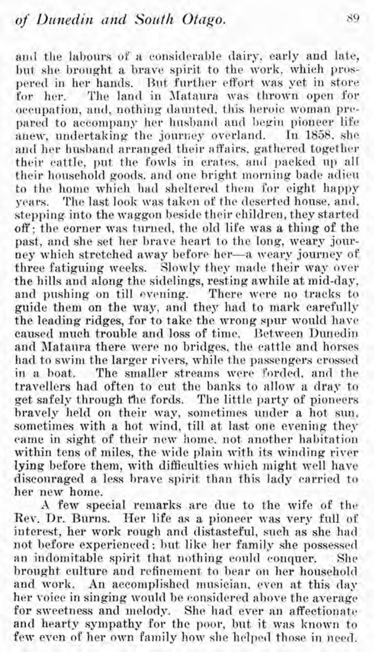and the labours of a considerable dairy, early and late, but she brought a brave spirit to the work, which prospered in her hands. But further effort was yet in store for her. The land in Mataura was thrown open for occupation, and, nothing daunted, this heroic woman prcpared to accompany her husband and begin pioneer life anew, undertaking the journey overland. In 1858, she and her husband arranged their affairs, gathered together their cattle, put the fowls in crates, and packed up all their household goods, and one bright morning bade adieu to the home which had sheltered them for eight happy years. The last look was taken of the deserted house, and, stepping. into the waggon beside their children, they started off; the corner was turnecl, the old life was a thing of the past, and she set her brave heart to the long, weary journey which stretched away before her-a weary journey of three fatiguing weeks. Slowly they made their way over the hills and along the siclelings, resting awhile at mid-day, and pushing on till evening. There were no tracks to guide them on the way, and they had to mark carefully the leading ridges, for to take the wrong spur would have caused much trouble and loss of time. Between Dunedin and JIataura there were no bridges, the cattle and horses had to swim the larger rivers, while the passengers crossed in a boat. The smaller streams were forded, and the travellers had often to cut the banks to allow a dray to get safely through the fords. The little party of pioneers bravely held on their way, sometimes under a hot sun. sometimes with a hot wind, till at last one evening they came in sight of their new home. not another habitation within tens of miles, the wide plain with its winding river lying before them, with difficulties which might well have disconraged a less brave spirit than this lady carried to her new home.

**.I** few special remarks are due to the wife of the Rev. Dr. Burns. Her life as a pioneer was very full of interest, her work rough and distasteful, such as she hacl not before experienced; but like her family she possessed an indomitable spirit that nothing could conquer. She brought culture and refinement to bear on her household and work. An accomplished musician, even at this day her voice in singing would be considered above the average for sweetness and melody. She had ever an affectionate and hearty sympathy for the poor, but it was known to few even of her own family how she helped those in need.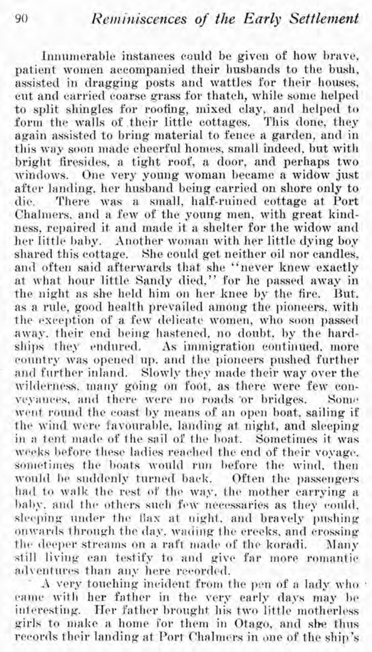Innumerable instances could be given of how brave, patient women accompanied their husbands to the bush, assisted in dragging posts and wattles for their houses, cut and carried coarse grass for thatch, while some helped to split shingles for roofing, mixed clay, and helped to form the walls of their little cottages. This done, they again assisted to bring material to fence a garden, and in this way soon made cheerful homes, small indeed, but with bright firesicles, a tight roof, **a.** door, and perhaps two windows. One very young woman became a widow just after landing, her husband being carried on shore only to die There was a small, half-ruined cottage at Port There was a small, half-ruined cottage at Port Chalmers, and a few of the young men, with great kindness, repaired it and made it a shelter for the widow and her little baby. Another woman with her little dying boy shared this cottage. She could get neither oil nor candles, and often said afterwards that she "never knew exactly at what hour little Sandy died." for he passed away in the night as she held him on her knee by the fire. But. as a rule, good health prevailed among the pioneers. with the exception of a few delicate women, who soon passed away. their end being hastened, no doubt, by the hardships they endured. As immigration continued. more country was opened up, and the pioneers pushed further and further inland. Slowly they made their way over the wilderness, many going on foot, as there were few conveyances, and there were no roads 'or bridges. Some went round the coast by means of an open boat, sailing if the wind were favourable, landing at night, and sleeping in a tent made of the sail of the boat. Sometimes it was weeks before these ladies reached the end of their voyage. sometimes the boats would run before the wind, then would be suddenly turned back. Often the passengers had to walk the rest of the way, the mother carrying a baby, and the others such few necessaries as they could, sleeping under the flax at night, and bravely pushing onwards through the day, wading the creeks, and crossing the deeper streams on a raft made of the koradi. Many still living can testify to and give far more romantic<br>adventures than any here recorded.

A very touching incident from the pen of a lady who . came with her father in the very early days may be interesting. Her Father brought his two little motherless girls to rnake *a* home i'or them in Otago, ancl **she** tlins records their landing at Port Chalmers in one of the ship's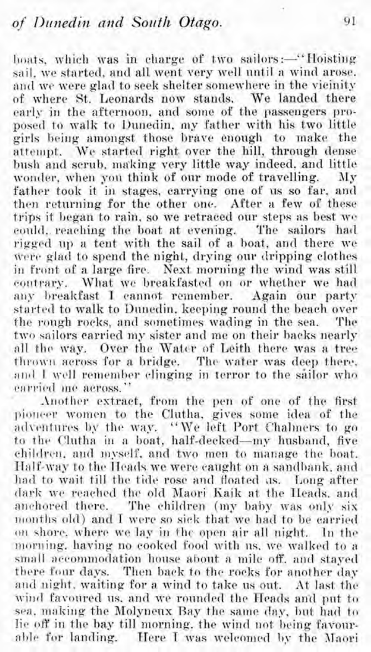boats, which was in charge of two sailors:-"Hoisting sail, we started, and all went very well until a wind arose. and we were glad to seek shelter somewhere in the vieinity. of where St. Leonards now stands. We landed there early in the afternoon, and some of the passengers proposed to walk to Dunedin, my father with his two little girls being amongst those brave enough to make the attempt. We started right over the hill, through dense bush and serub, making very little way indeed, and little wonder, when you think of our mode of travelling. My father took it in stages, carrying one of us so far, and then returning for the other one. After a few of these  $t$ rips it began to rain, so we retraced our steps as best we could, reaching the boat at evening. The sailors had rigged up a tent with the sail of a boat, and there we were glad to spend the night, drying our dripping clothes in front of a large fire. Next morning the wind was still contrary. What we breakfasted on or whether we had any breakfast I cannot remember. Again our party started to walk to Dnnedin. keeping round the beach over the rough rocks, and sometimes wading in the sea. The two sailors carried my sister and me on their backs nearly all the way. Over the Water of Leith there was a tree thrown across for a bridge. The water was deep there, and I well remember clinging in terror to the sailor who earried me across."

Another extract, from the pen of one of the first pioneer women to the Clutha, gives some idea of the adventures by the way. "We left Port Chalmers to go to the Clutha in a boat, half-decked-my husband, five children, and myself, and two men to manage the boat. Half-way to the Heads we were caught on a sandbank, and had to wait till the tide rose and floated us. Long after dark we reached the old Maori Kaik at the Heads, and anchored there. The children (my baby was only six months old) and T were so sick that we hacl to be carried on shore, where we lay in the open air all night. In the morning, having no cooked food with us, we walked to a small accommodation house about a mile off, and stayed there four days. Then back to the rocks for another day and night. waiting for a wind to take us out. At last the wind favoured us, and we rounded the Heads and put to sea, making the Molyneux Bay the same day, but had to lie off in the bay till morning, the wind not being favourable for landing. Here I was welcomed by the Maori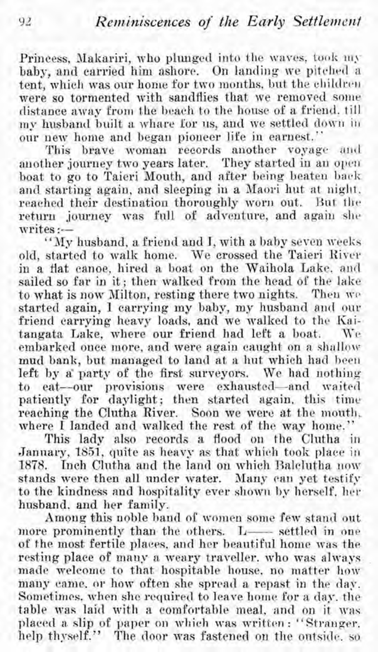Princess, Makariri, who plunged into the waves, took my baby, and carried him ashore. On landing we pitched a tent, which was our home for two months, but the children were so tormented with sandflies that we removed some distance away from the beach to the house of a friend. till my husband built a whare for us, and we settled down in our new home and began pioneer life in earnest."

This brave woman records another voyage and another journey two years later. They started in an open boat to go to Taieri Mouth, and after being beaten back and starting again, and sleeping in a Maori hut at night. reached their destination thoroughly worn out. But the return journey was full of adventure, and again she writes :--

"My husband, a friend and I, with a baby seven weeks old, started to walk home. We crossed the Taieri River in a flat canoe, hired a boat on the Waihola Lake, and sailed so far in it; then walked from the head of the lake to what is now Milton, resting there two nights. Then we started again, I carrying my baby, my husband and our friend carrying heavy loads, and we walked to the Kaitangata Lake, where our friend had left a boat. embarked once more, and were again caught on a shallow mud bank, but managed to land at a hut which had been left by a' party of the first surveyors. We had nothing to eat--our provisions were exhausted-and waited patiently for daylight; then started again, this time reaching the Clutha River. Soon we were at the mouth, where I landed and walked the rest of the way home."

This lady also records a flood on the Clutha in Jannary, 1851, quite as heavy as that which tool< place in 1878. Inch Clutha and the land on which Balclutha now stands were then all under water. Many can yet testify to the kindness and hospitality ever shown by herself, her husband. and her family.

Among this noble band of women some few stand out more prominently than the others.  $L$ -- settled in one of the most fertile places, and her beautiful home was the resting place of many a weary traveller. who was always made welcome to that hospitable house, no matter how many came: or how often she spread a repast in the day. Sometimes, when she required to leave home for a day. the table was laid with a comfortable meal, and on it was placed a slip of paper on which was written : "Stranger, help thyself." The door was fastened on the outside, so